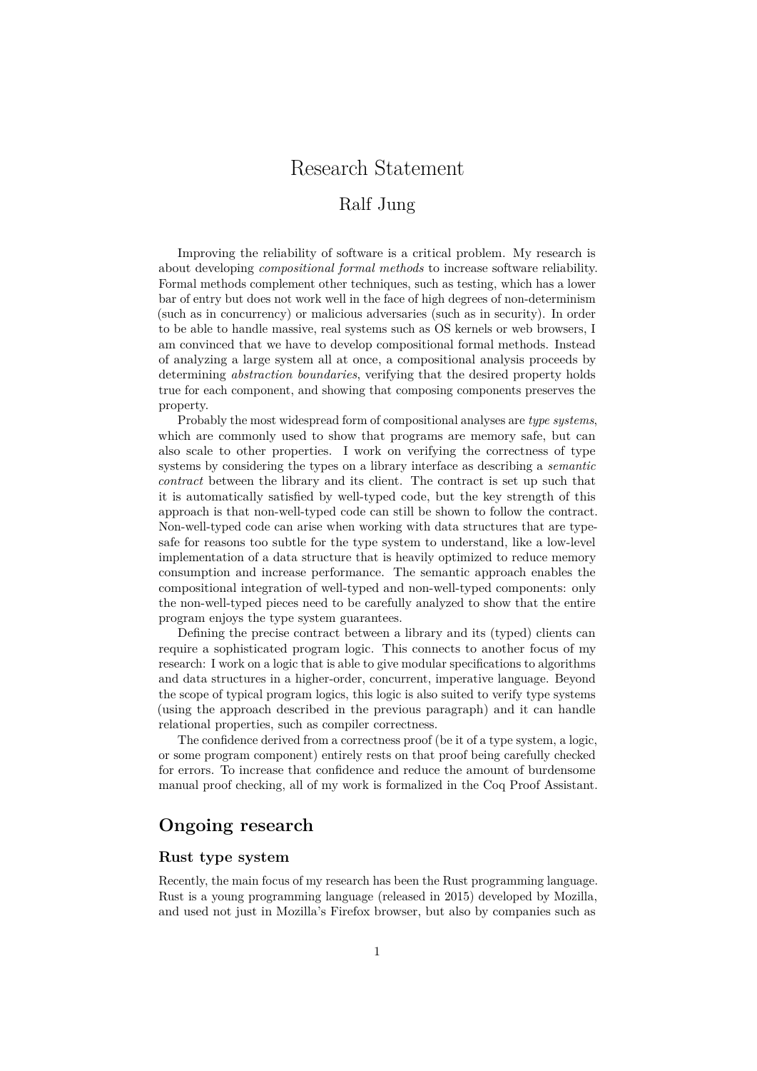# Research Statement

# Ralf Jung

Improving the reliability of software is a critical problem. My research is about developing *compositional formal methods* to increase software reliability. Formal methods complement other techniques, such as testing, which has a lower bar of entry but does not work well in the face of high degrees of non-determinism (such as in concurrency) or malicious adversaries (such as in security). In order to be able to handle massive, real systems such as OS kernels or web browsers, I am convinced that we have to develop compositional formal methods. Instead of analyzing a large system all at once, a compositional analysis proceeds by determining *abstraction boundaries*, verifying that the desired property holds true for each component, and showing that composing components preserves the property.

Probably the most widespread form of compositional analyses are *type systems*, which are commonly used to show that programs are memory safe, but can also scale to other properties. I work on verifying the correctness of type systems by considering the types on a library interface as describing a *semantic contract* between the library and its client. The contract is set up such that it is automatically satisfied by well-typed code, but the key strength of this approach is that non-well-typed code can still be shown to follow the contract. Non-well-typed code can arise when working with data structures that are typesafe for reasons too subtle for the type system to understand, like a low-level implementation of a data structure that is heavily optimized to reduce memory consumption and increase performance. The semantic approach enables the compositional integration of well-typed and non-well-typed components: only the non-well-typed pieces need to be carefully analyzed to show that the entire program enjoys the type system guarantees.

Defining the precise contract between a library and its (typed) clients can require a sophisticated program logic. This connects to another focus of my research: I work on a logic that is able to give modular specifications to algorithms and data structures in a higher-order, concurrent, imperative language. Beyond the scope of typical program logics, this logic is also suited to verify type systems (using the approach described in the previous paragraph) and it can handle relational properties, such as compiler correctness.

The confidence derived from a correctness proof (be it of a type system, a logic, or some program component) entirely rests on that proof being carefully checked for errors. To increase that confidence and reduce the amount of burdensome manual proof checking, all of my work is formalized in the Coq Proof Assistant.

# **Ongoing research**

### **Rust type system**

Recently, the main focus of my research has been the Rust programming language. Rust is a young programming language (released in 2015) developed by Mozilla, and used not just in Mozilla's Firefox browser, but also by companies such as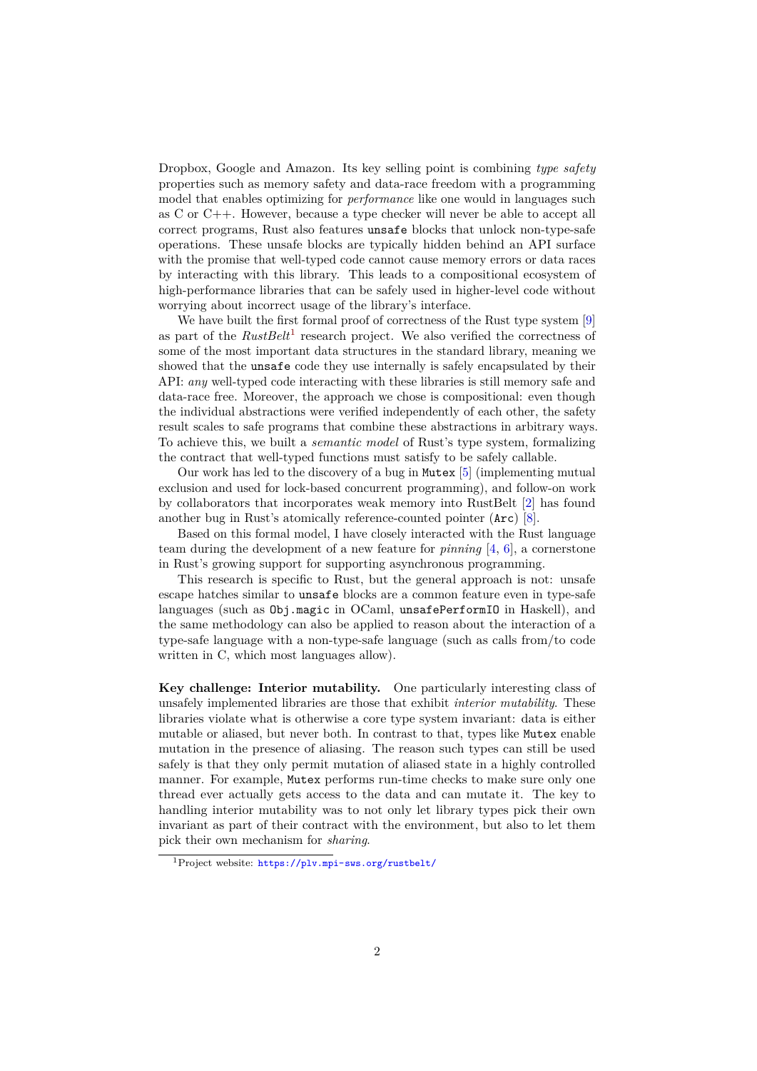Dropbox, Google and Amazon. Its key selling point is combining *type safety* properties such as memory safety and data-race freedom with a programming model that enables optimizing for *performance* like one would in languages such as C or C++. However, because a type checker will never be able to accept all correct programs, Rust also features unsafe blocks that unlock non-type-safe operations. These unsafe blocks are typically hidden behind an API surface with the promise that well-typed code cannot cause memory errors or data races by interacting with this library. This leads to a compositional ecosystem of high-performance libraries that can be safely used in higher-level code without worrying about incorrect usage of the library's interface.

We have built the first formal proof of correctness of the Rust type system [\[9\]](#page-6-0) as part of the *RustBelt*[1](#page-1-0) research project. We also verified the correctness of some of the most important data structures in the standard library, meaning we showed that the unsafe code they use internally is safely encapsulated by their API: *any* well-typed code interacting with these libraries is still memory safe and data-race free. Moreover, the approach we chose is compositional: even though the individual abstractions were verified independently of each other, the safety result scales to safe programs that combine these abstractions in arbitrary ways. To achieve this, we built a *semantic model* of Rust's type system, formalizing the contract that well-typed functions must satisfy to be safely callable.

Our work has led to the discovery of a bug in Mutex [\[5\]](#page-5-0) (implementing mutual exclusion and used for lock-based concurrent programming), and follow-on work by collaborators that incorporates weak memory into RustBelt [\[2\]](#page-5-1) has found another bug in Rust's atomically reference-counted pointer (Arc) [\[8\]](#page-6-1).

Based on this formal model, I have closely interacted with the Rust language team during the development of a new feature for *pinning* [\[4,](#page-5-2) [6\]](#page-5-3), a cornerstone in Rust's growing support for supporting asynchronous programming.

This research is specific to Rust, but the general approach is not: unsafe escape hatches similar to unsafe blocks are a common feature even in type-safe languages (such as Obj.magic in OCaml, unsafePerformIO in Haskell), and the same methodology can also be applied to reason about the interaction of a type-safe language with a non-type-safe language (such as calls from/to code written in C, which most languages allow).

**Key challenge: Interior mutability.** One particularly interesting class of unsafely implemented libraries are those that exhibit *interior mutability*. These libraries violate what is otherwise a core type system invariant: data is either mutable or aliased, but never both. In contrast to that, types like Mutex enable mutation in the presence of aliasing. The reason such types can still be used safely is that they only permit mutation of aliased state in a highly controlled manner. For example, Mutex performs run-time checks to make sure only one thread ever actually gets access to the data and can mutate it. The key to handling interior mutability was to not only let library types pick their own invariant as part of their contract with the environment, but also to let them pick their own mechanism for *sharing*.

<span id="page-1-0"></span><sup>&</sup>lt;sup>1</sup>Project website: <https://plv.mpi-sws.org/rustbelt/>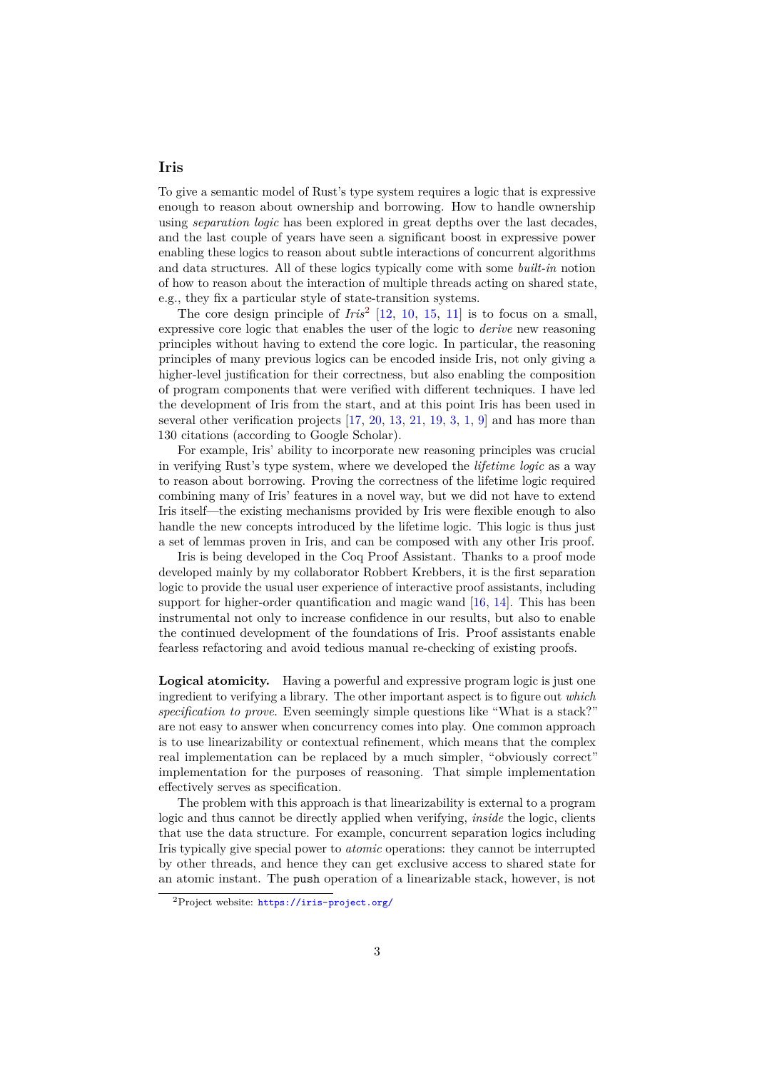#### **Iris**

To give a semantic model of Rust's type system requires a logic that is expressive enough to reason about ownership and borrowing. How to handle ownership using *separation logic* has been explored in great depths over the last decades, and the last couple of years have seen a significant boost in expressive power enabling these logics to reason about subtle interactions of concurrent algorithms and data structures. All of these logics typically come with some *built-in* notion of how to reason about the interaction of multiple threads acting on shared state, e.g., they fix a particular style of state-transition systems.

The core design principle of *Iris*[2](#page-2-0) [\[12,](#page-6-2) [10,](#page-6-3) [15,](#page-6-4) [11\]](#page-6-5) is to focus on a small, expressive core logic that enables the user of the logic to *derive* new reasoning principles without having to extend the core logic. In particular, the reasoning principles of many previous logics can be encoded inside Iris, not only giving a higher-level justification for their correctness, but also enabling the composition of program components that were verified with different techniques. I have led the development of Iris from the start, and at this point Iris has been used in several other verification projects [\[17,](#page-6-6) [20,](#page-6-7) [13,](#page-6-8) [21,](#page-7-0) [19,](#page-6-9) [3,](#page-5-4) [1,](#page-5-5) [9\]](#page-6-0) and has more than 130 citations (according to Google Scholar).

For example, Iris' ability to incorporate new reasoning principles was crucial in verifying Rust's type system, where we developed the *lifetime logic* as a way to reason about borrowing. Proving the correctness of the lifetime logic required combining many of Iris' features in a novel way, but we did not have to extend Iris itself—the existing mechanisms provided by Iris were flexible enough to also handle the new concepts introduced by the lifetime logic. This logic is thus just a set of lemmas proven in Iris, and can be composed with any other Iris proof.

Iris is being developed in the Coq Proof Assistant. Thanks to a proof mode developed mainly by my collaborator Robbert Krebbers, it is the first separation logic to provide the usual user experience of interactive proof assistants, including support for higher-order quantification and magic wand [\[16,](#page-6-10) [14\]](#page-6-11). This has been instrumental not only to increase confidence in our results, but also to enable the continued development of the foundations of Iris. Proof assistants enable fearless refactoring and avoid tedious manual re-checking of existing proofs.

**Logical atomicity.** Having a powerful and expressive program logic is just one ingredient to verifying a library. The other important aspect is to figure out *which specification to prove*. Even seemingly simple questions like "What is a stack?" are not easy to answer when concurrency comes into play. One common approach is to use linearizability or contextual refinement, which means that the complex real implementation can be replaced by a much simpler, "obviously correct" implementation for the purposes of reasoning. That simple implementation effectively serves as specification.

The problem with this approach is that linearizability is external to a program logic and thus cannot be directly applied when verifying, *inside* the logic, clients that use the data structure. For example, concurrent separation logics including Iris typically give special power to *atomic* operations: they cannot be interrupted by other threads, and hence they can get exclusive access to shared state for an atomic instant. The push operation of a linearizable stack, however, is not

<span id="page-2-0"></span><sup>2</sup>Project website: <https://iris-project.org/>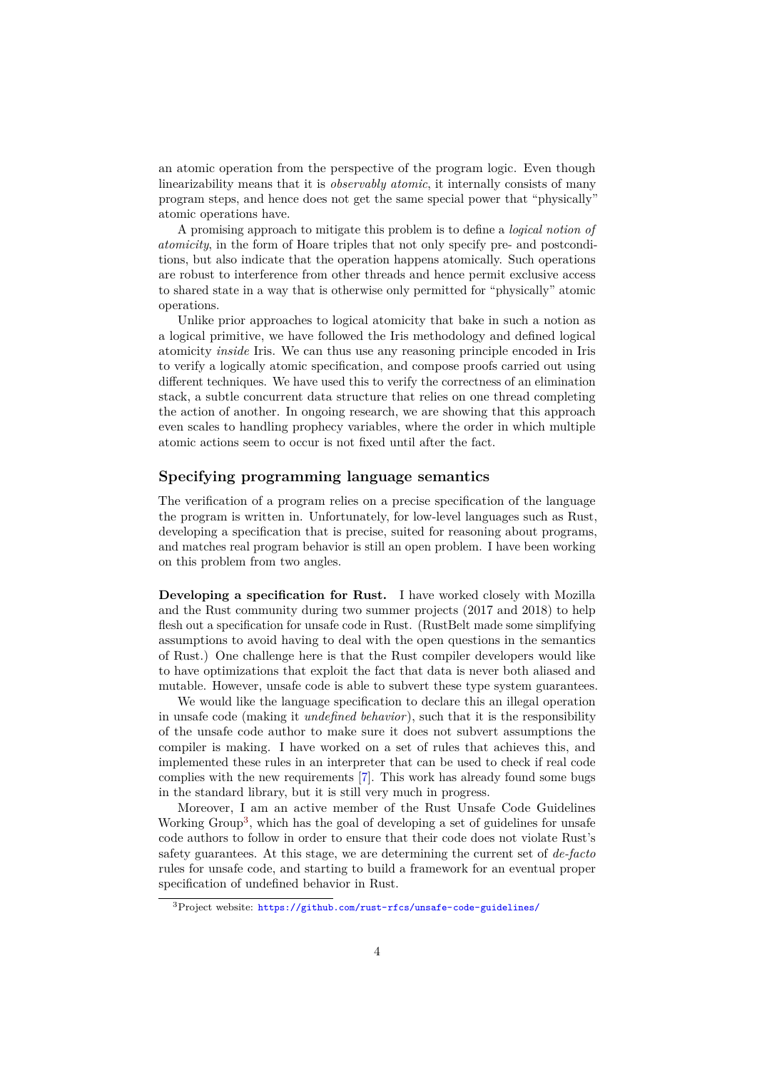an atomic operation from the perspective of the program logic. Even though linearizability means that it is *observably atomic*, it internally consists of many program steps, and hence does not get the same special power that "physically" atomic operations have.

A promising approach to mitigate this problem is to define a *logical notion of atomicity*, in the form of Hoare triples that not only specify pre- and postconditions, but also indicate that the operation happens atomically. Such operations are robust to interference from other threads and hence permit exclusive access to shared state in a way that is otherwise only permitted for "physically" atomic operations.

Unlike prior approaches to logical atomicity that bake in such a notion as a logical primitive, we have followed the Iris methodology and defined logical atomicity *inside* Iris. We can thus use any reasoning principle encoded in Iris to verify a logically atomic specification, and compose proofs carried out using different techniques. We have used this to verify the correctness of an elimination stack, a subtle concurrent data structure that relies on one thread completing the action of another. In ongoing research, we are showing that this approach even scales to handling prophecy variables, where the order in which multiple atomic actions seem to occur is not fixed until after the fact.

#### **Specifying programming language semantics**

The verification of a program relies on a precise specification of the language the program is written in. Unfortunately, for low-level languages such as Rust, developing a specification that is precise, suited for reasoning about programs, and matches real program behavior is still an open problem. I have been working on this problem from two angles.

**Developing a specification for Rust.** I have worked closely with Mozilla and the Rust community during two summer projects (2017 and 2018) to help flesh out a specification for unsafe code in Rust. (RustBelt made some simplifying assumptions to avoid having to deal with the open questions in the semantics of Rust.) One challenge here is that the Rust compiler developers would like to have optimizations that exploit the fact that data is never both aliased and mutable. However, unsafe code is able to subvert these type system guarantees.

We would like the language specification to declare this an illegal operation in unsafe code (making it *undefined behavior*), such that it is the responsibility of the unsafe code author to make sure it does not subvert assumptions the compiler is making. I have worked on a set of rules that achieves this, and implemented these rules in an interpreter that can be used to check if real code complies with the new requirements [\[7\]](#page-6-12). This work has already found some bugs in the standard library, but it is still very much in progress.

Moreover, I am an active member of the Rust Unsafe Code Guidelines Working Group<sup>[3](#page-3-0)</sup>, which has the goal of developing a set of guidelines for unsafe code authors to follow in order to ensure that their code does not violate Rust's safety guarantees. At this stage, we are determining the current set of *de-facto* rules for unsafe code, and starting to build a framework for an eventual proper specification of undefined behavior in Rust.

<span id="page-3-0"></span><sup>3</sup>Project website: <https://github.com/rust-rfcs/unsafe-code-guidelines/>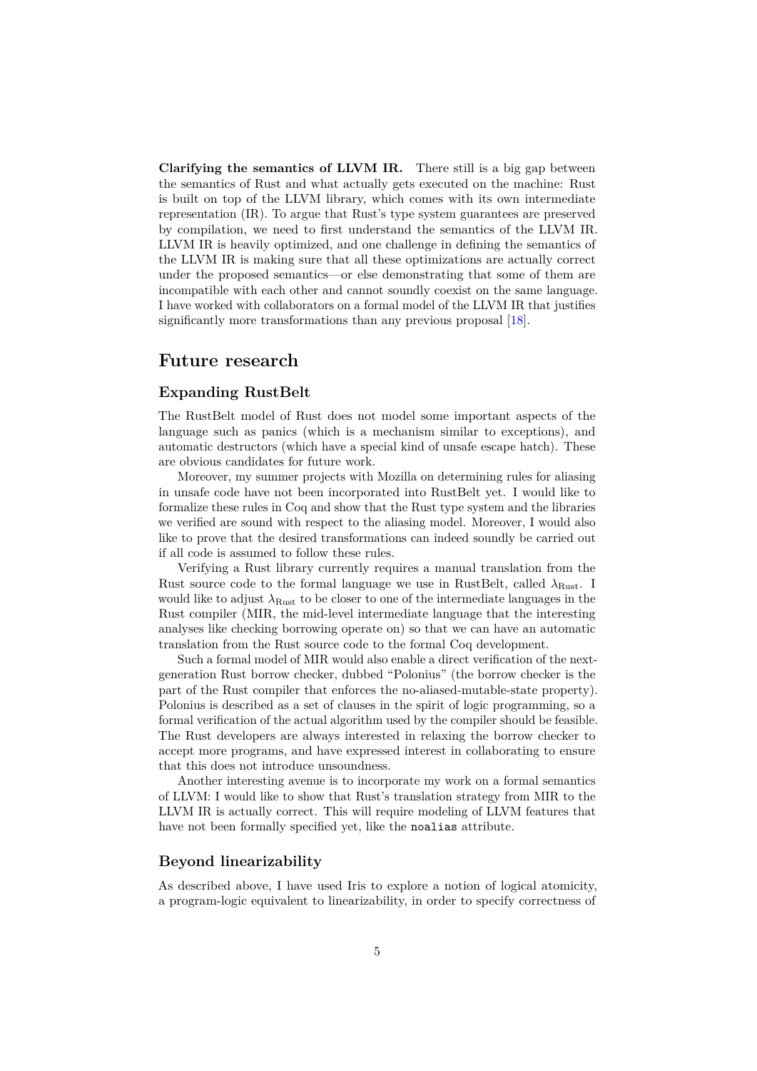**Clarifying the semantics of LLVM IR.** There still is a big gap between the semantics of Rust and what actually gets executed on the machine: Rust is built on top of the LLVM library, which comes with its own intermediate representation (IR). To argue that Rust's type system guarantees are preserved by compilation, we need to first understand the semantics of the LLVM IR. LLVM IR is heavily optimized, and one challenge in defining the semantics of the LLVM IR is making sure that all these optimizations are actually correct under the proposed semantics—or else demonstrating that some of them are incompatible with each other and cannot soundly coexist on the same language. I have worked with collaborators on a formal model of the LLVM IR that justifies significantly more transformations than any previous proposal [\[18\]](#page-6-13).

## **Future research**

### **Expanding RustBelt**

The RustBelt model of Rust does not model some important aspects of the language such as panics (which is a mechanism similar to exceptions), and automatic destructors (which have a special kind of unsafe escape hatch). These are obvious candidates for future work.

Moreover, my summer projects with Mozilla on determining rules for aliasing in unsafe code have not been incorporated into RustBelt yet. I would like to formalize these rules in Coq and show that the Rust type system and the libraries we verified are sound with respect to the aliasing model. Moreover, I would also like to prove that the desired transformations can indeed soundly be carried out if all code is assumed to follow these rules.

Verifying a Rust library currently requires a manual translation from the Rust source code to the formal language we use in RustBelt, called  $\lambda_{\text{Rust}}$ . I would like to adjust  $\lambda_{\text{Rust}}$  to be closer to one of the intermediate languages in the Rust compiler (MIR, the mid-level intermediate language that the interesting analyses like checking borrowing operate on) so that we can have an automatic translation from the Rust source code to the formal Coq development.

Such a formal model of MIR would also enable a direct verification of the nextgeneration Rust borrow checker, dubbed "Polonius" (the borrow checker is the part of the Rust compiler that enforces the no-aliased-mutable-state property). Polonius is described as a set of clauses in the spirit of logic programming, so a formal verification of the actual algorithm used by the compiler should be feasible. The Rust developers are always interested in relaxing the borrow checker to accept more programs, and have expressed interest in collaborating to ensure that this does not introduce unsoundness.

Another interesting avenue is to incorporate my work on a formal semantics of LLVM: I would like to show that Rust's translation strategy from MIR to the LLVM IR is actually correct. This will require modeling of LLVM features that have not been formally specified yet, like the noalias attribute.

### **Beyond linearizability**

As described above, I have used Iris to explore a notion of logical atomicity, a program-logic equivalent to linearizability, in order to specify correctness of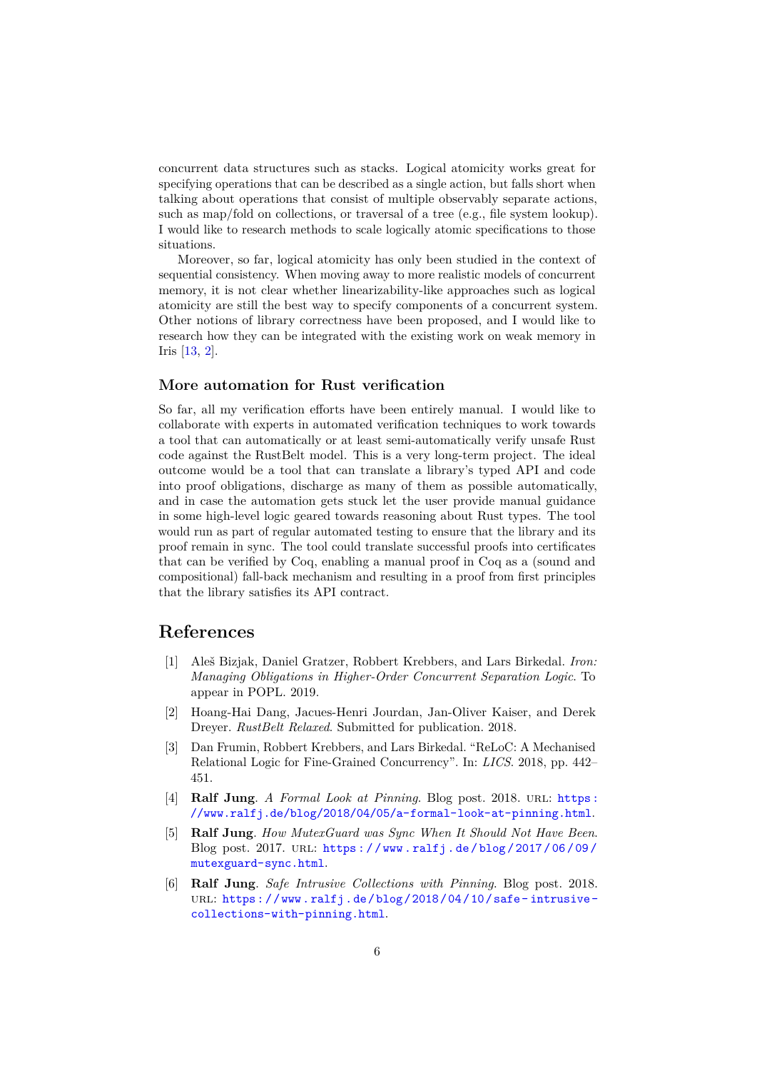concurrent data structures such as stacks. Logical atomicity works great for specifying operations that can be described as a single action, but falls short when talking about operations that consist of multiple observably separate actions, such as map/fold on collections, or traversal of a tree (e.g., file system lookup). I would like to research methods to scale logically atomic specifications to those situations.

Moreover, so far, logical atomicity has only been studied in the context of sequential consistency. When moving away to more realistic models of concurrent memory, it is not clear whether linearizability-like approaches such as logical atomicity are still the best way to specify components of a concurrent system. Other notions of library correctness have been proposed, and I would like to research how they can be integrated with the existing work on weak memory in Iris [\[13,](#page-6-8) [2\]](#page-5-1).

#### **More automation for Rust verification**

So far, all my verification efforts have been entirely manual. I would like to collaborate with experts in automated verification techniques to work towards a tool that can automatically or at least semi-automatically verify unsafe Rust code against the RustBelt model. This is a very long-term project. The ideal outcome would be a tool that can translate a library's typed API and code into proof obligations, discharge as many of them as possible automatically, and in case the automation gets stuck let the user provide manual guidance in some high-level logic geared towards reasoning about Rust types. The tool would run as part of regular automated testing to ensure that the library and its proof remain in sync. The tool could translate successful proofs into certificates that can be verified by Coq, enabling a manual proof in Coq as a (sound and compositional) fall-back mechanism and resulting in a proof from first principles that the library satisfies its API contract.

# **References**

- <span id="page-5-5"></span>[1] Aleš Bizjak, Daniel Gratzer, Robbert Krebbers, and Lars Birkedal. *Iron: Managing Obligations in Higher-Order Concurrent Separation Logic*. To appear in POPL. 2019.
- <span id="page-5-1"></span>[2] Hoang-Hai Dang, Jacues-Henri Jourdan, Jan-Oliver Kaiser, and Derek Dreyer. *RustBelt Relaxed*. Submitted for publication. 2018.
- <span id="page-5-4"></span>[3] Dan Frumin, Robbert Krebbers, and Lars Birkedal. "ReLoC: A Mechanised Relational Logic for Fine-Grained Concurrency". In: *LICS*. 2018, pp. 442– 451.
- <span id="page-5-2"></span>[4] **Ralf Jung**. *A Formal Look at Pinning*. Blog post. 2018. url: [https:](https://www.ralfj.de/blog/2018/04/05/a-formal-look-at-pinning.html) [//www.ralfj.de/blog/2018/04/05/a-formal-look-at-pinning.html](https://www.ralfj.de/blog/2018/04/05/a-formal-look-at-pinning.html).
- <span id="page-5-0"></span>[5] **Ralf Jung**. *How MutexGuard was Sync When It Should Not Have Been*. Blog post. 2017. url: [https : / / www . ralfj . de / blog / 2017 / 06 / 09 /](https://www.ralfj.de/blog/2017/06/09/mutexguard-sync.html) [mutexguard-sync.html](https://www.ralfj.de/blog/2017/06/09/mutexguard-sync.html).
- <span id="page-5-3"></span>[6] **Ralf Jung**. *Safe Intrusive Collections with Pinning*. Blog post. 2018. URL: https://www.ralfj.de/blog/2018/04/10/safe-intrusive[collections-with-pinning.html](https://www.ralfj.de/blog/2018/04/10/safe-intrusive-collections-with-pinning.html).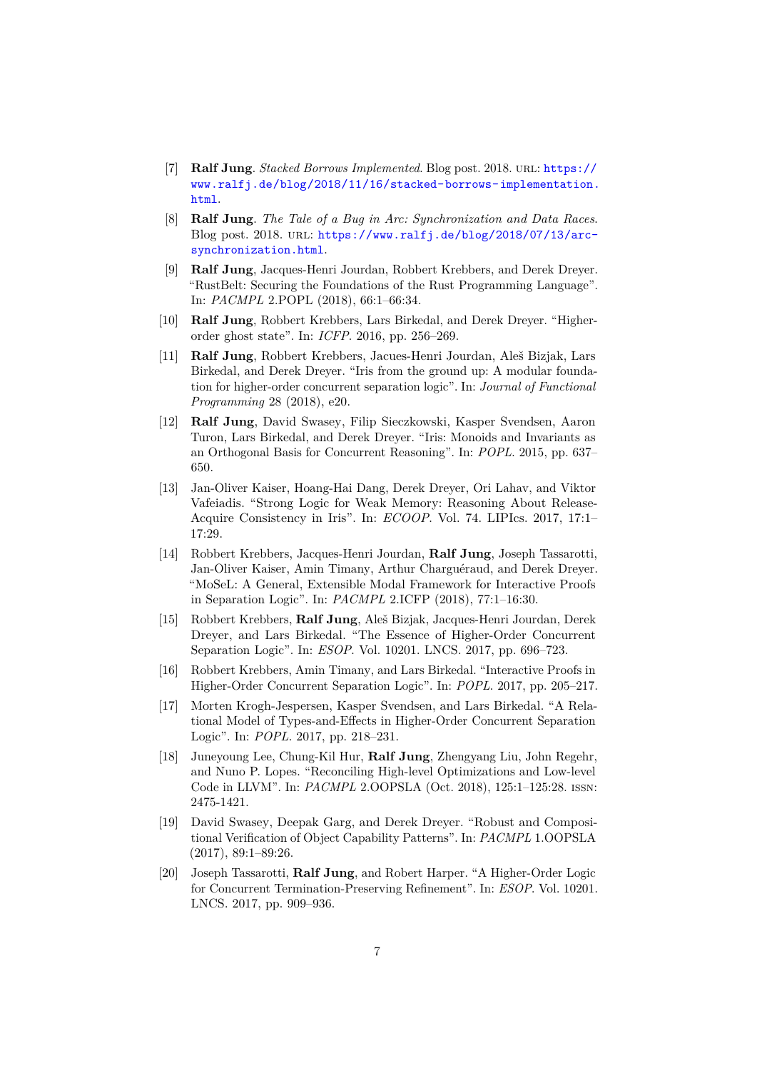- <span id="page-6-12"></span>[7] **Ralf Jung**. *Stacked Borrows Implemented*. Blog post. 2018. url: [https://](https://www.ralfj.de/blog/2018/11/16/stacked-borrows-implementation.html) [www.ralfj.de/blog/2018/11/16/stacked-borrows-implementation.](https://www.ralfj.de/blog/2018/11/16/stacked-borrows-implementation.html) [html](https://www.ralfj.de/blog/2018/11/16/stacked-borrows-implementation.html).
- <span id="page-6-1"></span>[8] **Ralf Jung**. *The Tale of a Bug in Arc: Synchronization and Data Races*. Blog post. 2018. url: [https://www.ralfj.de/blog/2018/07/13/arc](https://www.ralfj.de/blog/2018/07/13/arc-synchronization.html)[synchronization.html](https://www.ralfj.de/blog/2018/07/13/arc-synchronization.html).
- <span id="page-6-0"></span>[9] **Ralf Jung**, Jacques-Henri Jourdan, Robbert Krebbers, and Derek Dreyer. "RustBelt: Securing the Foundations of the Rust Programming Language". In: *PACMPL* 2.POPL (2018), 66:1–66:34.
- <span id="page-6-3"></span>[10] **Ralf Jung**, Robbert Krebbers, Lars Birkedal, and Derek Dreyer. "Higherorder ghost state". In: *ICFP*. 2016, pp. 256–269.
- <span id="page-6-5"></span>[11] **Ralf Jung**, Robbert Krebbers, Jacues-Henri Jourdan, Aleš Bizjak, Lars Birkedal, and Derek Dreyer. "Iris from the ground up: A modular foundation for higher-order concurrent separation logic". In: *Journal of Functional Programming* 28 (2018), e20.
- <span id="page-6-2"></span>[12] **Ralf Jung**, David Swasey, Filip Sieczkowski, Kasper Svendsen, Aaron Turon, Lars Birkedal, and Derek Dreyer. "Iris: Monoids and Invariants as an Orthogonal Basis for Concurrent Reasoning". In: *POPL*. 2015, pp. 637– 650.
- <span id="page-6-8"></span>[13] Jan-Oliver Kaiser, Hoang-Hai Dang, Derek Dreyer, Ori Lahav, and Viktor Vafeiadis. "Strong Logic for Weak Memory: Reasoning About Release-Acquire Consistency in Iris". In: *ECOOP*. Vol. 74. LIPIcs. 2017, 17:1– 17:29.
- <span id="page-6-11"></span>[14] Robbert Krebbers, Jacques-Henri Jourdan, **Ralf Jung**, Joseph Tassarotti, Jan-Oliver Kaiser, Amin Timany, Arthur Charguéraud, and Derek Dreyer. "MoSeL: A General, Extensible Modal Framework for Interactive Proofs in Separation Logic". In: *PACMPL* 2.ICFP (2018), 77:1–16:30.
- <span id="page-6-4"></span>[15] Robbert Krebbers, **Ralf Jung**, Aleš Bizjak, Jacques-Henri Jourdan, Derek Dreyer, and Lars Birkedal. "The Essence of Higher-Order Concurrent Separation Logic". In: *ESOP*. Vol. 10201. LNCS. 2017, pp. 696–723.
- <span id="page-6-10"></span>[16] Robbert Krebbers, Amin Timany, and Lars Birkedal. "Interactive Proofs in Higher-Order Concurrent Separation Logic". In: *POPL*. 2017, pp. 205–217.
- <span id="page-6-6"></span>[17] Morten Krogh-Jespersen, Kasper Svendsen, and Lars Birkedal. "A Relational Model of Types-and-Effects in Higher-Order Concurrent Separation Logic". In: *POPL*. 2017, pp. 218–231.
- <span id="page-6-13"></span>[18] Juneyoung Lee, Chung-Kil Hur, **Ralf Jung**, Zhengyang Liu, John Regehr, and Nuno P. Lopes. "Reconciling High-level Optimizations and Low-level Code in LLVM". In: *PACMPL* 2.OOPSLA (Oct. 2018), 125:1–125:28. issn: 2475-1421.
- <span id="page-6-9"></span>[19] David Swasey, Deepak Garg, and Derek Dreyer. "Robust and Compositional Verification of Object Capability Patterns". In: *PACMPL* 1.OOPSLA (2017), 89:1–89:26.
- <span id="page-6-7"></span>[20] Joseph Tassarotti, **Ralf Jung**, and Robert Harper. "A Higher-Order Logic for Concurrent Termination-Preserving Refinement". In: *ESOP*. Vol. 10201. LNCS. 2017, pp. 909–936.